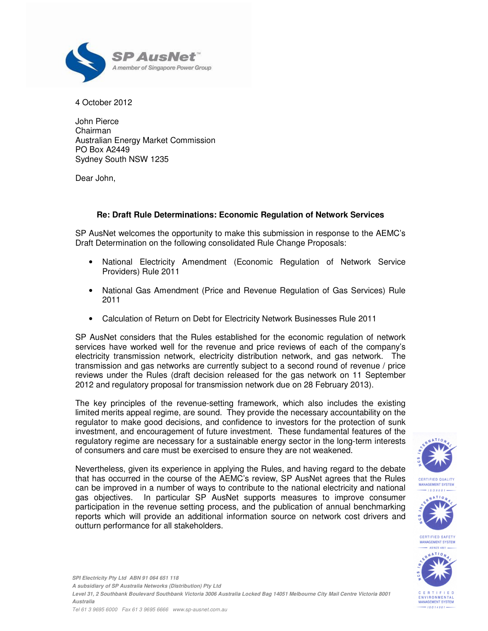

4 October 2012

John Pierce Chairman Australian Energy Market Commission PO Box A2449 Sydney South NSW 1235

Dear John,

# **Re: Draft Rule Determinations: Economic Regulation of Network Services**

SP AusNet welcomes the opportunity to make this submission in response to the AEMC's Draft Determination on the following consolidated Rule Change Proposals:

- National Electricity Amendment (Economic Regulation of Network Service Providers) Rule 2011
- National Gas Amendment (Price and Revenue Regulation of Gas Services) Rule 2011
- Calculation of Return on Debt for Electricity Network Businesses Rule 2011

SP AusNet considers that the Rules established for the economic regulation of network services have worked well for the revenue and price reviews of each of the company's electricity transmission network, electricity distribution network, and gas network. The transmission and gas networks are currently subject to a second round of revenue / price reviews under the Rules (draft decision released for the gas network on 11 September 2012 and regulatory proposal for transmission network due on 28 February 2013).

The key principles of the revenue-setting framework, which also includes the existing limited merits appeal regime, are sound. They provide the necessary accountability on the regulator to make good decisions, and confidence to investors for the protection of sunk investment, and encouragement of future investment. These fundamental features of the regulatory regime are necessary for a sustainable energy sector in the long-term interests of consumers and care must be exercised to ensure they are not weakened.

Nevertheless, given its experience in applying the Rules, and having regard to the debate that has occurred in the course of the AEMC's review, SP AusNet agrees that the Rules can be improved in a number of ways to contribute to the national electricity and national gas objectives. In particular SP AusNet supports measures to improve consumer participation in the revenue setting process, and the publication of annual benchmarking reports which will provide an additional information source on network cost drivers and outturn performance for all stakeholders.





 $-18014001$ 

**SPI Electricity Pty Ltd ABN 91 064 651 118 A subsidiary of SP Australia Networks (Distribution) Pty Ltd Level 31, 2 Southbank Boulevard Southbank Victoria 3006 Australia Locked Bag 14051 Melbourne City Mail Centre Victoria 8001 Australia**  Tel 61 3 9695 6000 Fax 61 3 9695 6666 www.sp-ausnet.com.au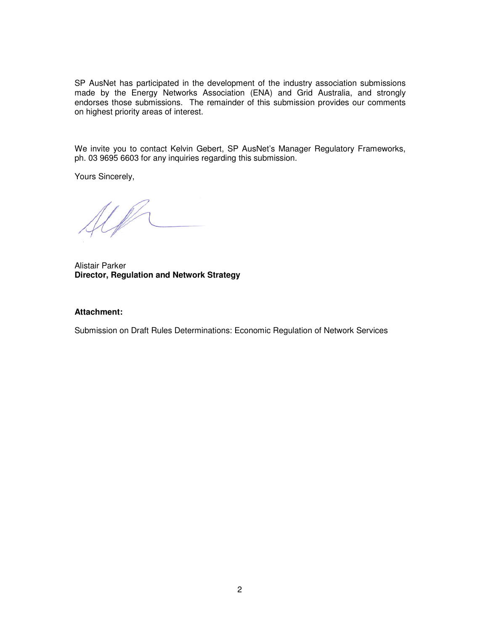SP AusNet has participated in the development of the industry association submissions made by the Energy Networks Association (ENA) and Grid Australia, and strongly endorses those submissions. The remainder of this submission provides our comments on highest priority areas of interest.

We invite you to contact Kelvin Gebert, SP AusNet's Manager Regulatory Frameworks, ph. 03 9695 6603 for any inquiries regarding this submission.

Yours Sincerely,

UP

Alistair Parker **Director, Regulation and Network Strategy** 

### **Attachment:**

Submission on Draft Rules Determinations: Economic Regulation of Network Services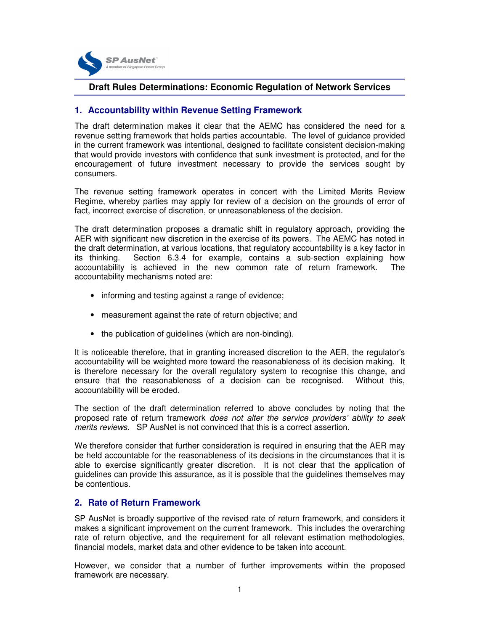

# **Draft Rules Determinations: Economic Regulation of Network Services**

## **1. Accountability within Revenue Setting Framework**

The draft determination makes it clear that the AEMC has considered the need for a revenue setting framework that holds parties accountable. The level of guidance provided in the current framework was intentional, designed to facilitate consistent decision-making that would provide investors with confidence that sunk investment is protected, and for the encouragement of future investment necessary to provide the services sought by consumers.

The revenue setting framework operates in concert with the Limited Merits Review Regime, whereby parties may apply for review of a decision on the grounds of error of fact, incorrect exercise of discretion, or unreasonableness of the decision.

The draft determination proposes a dramatic shift in regulatory approach, providing the AER with significant new discretion in the exercise of its powers. The AEMC has noted in the draft determination, at various locations, that regulatory accountability is a key factor in its thinking. Section 6.3.4 for example, contains a sub-section explaining how accountability is achieved in the new common rate of return framework. The accountability mechanisms noted are:

- informing and testing against a range of evidence;
- measurement against the rate of return objective; and
- the publication of guidelines (which are non-binding).

It is noticeable therefore, that in granting increased discretion to the AER, the regulator's accountability will be weighted more toward the reasonableness of its decision making. It is therefore necessary for the overall regulatory system to recognise this change, and ensure that the reasonableness of a decision can be recognised. Without this, accountability will be eroded.

The section of the draft determination referred to above concludes by noting that the proposed rate of return framework does not alter the service providers' ability to seek merits reviews. SP AusNet is not convinced that this is a correct assertion.

We therefore consider that further consideration is required in ensuring that the AER may be held accountable for the reasonableness of its decisions in the circumstances that it is able to exercise significantly greater discretion. It is not clear that the application of guidelines can provide this assurance, as it is possible that the guidelines themselves may be contentious.

## **2. Rate of Return Framework**

SP AusNet is broadly supportive of the revised rate of return framework, and considers it makes a significant improvement on the current framework. This includes the overarching rate of return objective, and the requirement for all relevant estimation methodologies, financial models, market data and other evidence to be taken into account.

However, we consider that a number of further improvements within the proposed framework are necessary.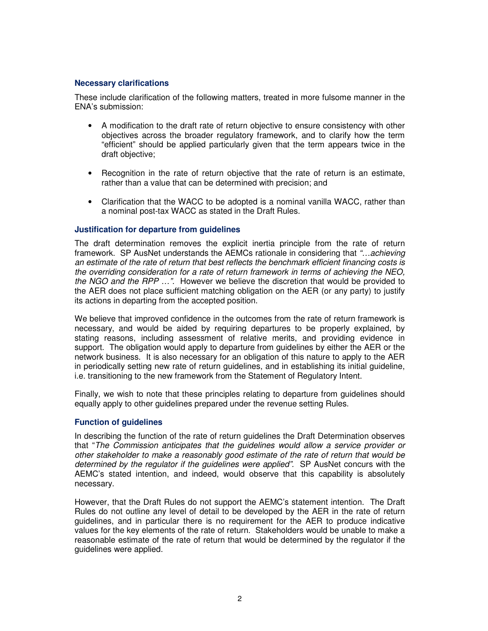#### **Necessary clarifications**

These include clarification of the following matters, treated in more fulsome manner in the ENA's submission:

- A modification to the draft rate of return objective to ensure consistency with other objectives across the broader regulatory framework, and to clarify how the term "efficient" should be applied particularly given that the term appears twice in the draft objective;
- Recognition in the rate of return objective that the rate of return is an estimate, rather than a value that can be determined with precision; and
- Clarification that the WACC to be adopted is a nominal vanilla WACC, rather than a nominal post-tax WACC as stated in the Draft Rules.

### **Justification for departure from guidelines**

The draft determination removes the explicit inertia principle from the rate of return framework. SP AusNet understands the AEMCs rationale in considering that "…achieving an estimate of the rate of return that best reflects the benchmark efficient financing costs is the overriding consideration for a rate of return framework in terms of achieving the NEO, the NGO and the RPP ...". However we believe the discretion that would be provided to the AER does not place sufficient matching obligation on the AER (or any party) to justify its actions in departing from the accepted position.

We believe that improved confidence in the outcomes from the rate of return framework is necessary, and would be aided by requiring departures to be properly explained, by stating reasons, including assessment of relative merits, and providing evidence in support. The obligation would apply to departure from guidelines by either the AER or the network business. It is also necessary for an obligation of this nature to apply to the AER in periodically setting new rate of return guidelines, and in establishing its initial guideline, i.e. transitioning to the new framework from the Statement of Regulatory Intent.

Finally, we wish to note that these principles relating to departure from guidelines should equally apply to other guidelines prepared under the revenue setting Rules.

#### **Function of guidelines**

In describing the function of the rate of return guidelines the Draft Determination observes that "The Commission anticipates that the guidelines would allow a service provider or other stakeholder to make a reasonably good estimate of the rate of return that would be determined by the regulator if the guidelines were applied". SP AusNet concurs with the AEMC's stated intention, and indeed, would observe that this capability is absolutely necessary.

However, that the Draft Rules do not support the AEMC's statement intention. The Draft Rules do not outline any level of detail to be developed by the AER in the rate of return guidelines, and in particular there is no requirement for the AER to produce indicative values for the key elements of the rate of return. Stakeholders would be unable to make a reasonable estimate of the rate of return that would be determined by the regulator if the guidelines were applied.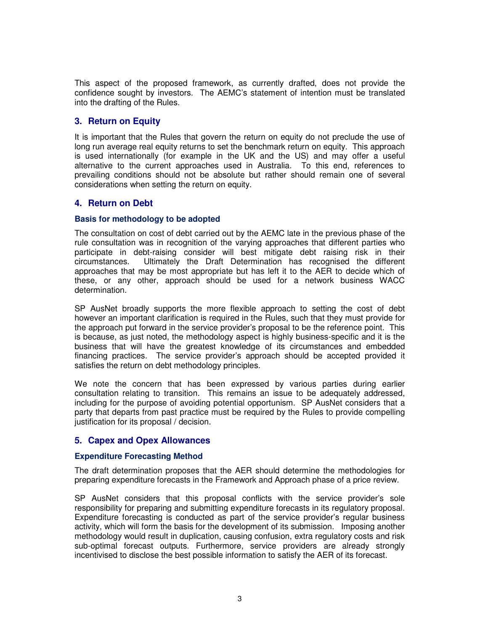This aspect of the proposed framework, as currently drafted, does not provide the confidence sought by investors. The AEMC's statement of intention must be translated into the drafting of the Rules.

# **3. Return on Equity**

It is important that the Rules that govern the return on equity do not preclude the use of long run average real equity returns to set the benchmark return on equity. This approach is used internationally (for example in the UK and the US) and may offer a useful alternative to the current approaches used in Australia. To this end, references to prevailing conditions should not be absolute but rather should remain one of several considerations when setting the return on equity.

# **4. Return on Debt**

## **Basis for methodology to be adopted**

The consultation on cost of debt carried out by the AEMC late in the previous phase of the rule consultation was in recognition of the varying approaches that different parties who participate in debt-raising consider will best mitigate debt raising risk in their circumstances. Ultimately the Draft Determination has recognised the different approaches that may be most appropriate but has left it to the AER to decide which of these, or any other, approach should be used for a network business WACC determination.

SP AusNet broadly supports the more flexible approach to setting the cost of debt however an important clarification is required in the Rules, such that they must provide for the approach put forward in the service provider's proposal to be the reference point. This is because, as just noted, the methodology aspect is highly business-specific and it is the business that will have the greatest knowledge of its circumstances and embedded financing practices. The service provider's approach should be accepted provided it satisfies the return on debt methodology principles.

We note the concern that has been expressed by various parties during earlier consultation relating to transition. This remains an issue to be adequately addressed, including for the purpose of avoiding potential opportunism. SP AusNet considers that a party that departs from past practice must be required by the Rules to provide compelling justification for its proposal / decision.

## **5. Capex and Opex Allowances**

## **Expenditure Forecasting Method**

The draft determination proposes that the AER should determine the methodologies for preparing expenditure forecasts in the Framework and Approach phase of a price review.

SP AusNet considers that this proposal conflicts with the service provider's sole responsibility for preparing and submitting expenditure forecasts in its regulatory proposal. Expenditure forecasting is conducted as part of the service provider's regular business activity, which will form the basis for the development of its submission. Imposing another methodology would result in duplication, causing confusion, extra regulatory costs and risk sub-optimal forecast outputs. Furthermore, service providers are already strongly incentivised to disclose the best possible information to satisfy the AER of its forecast.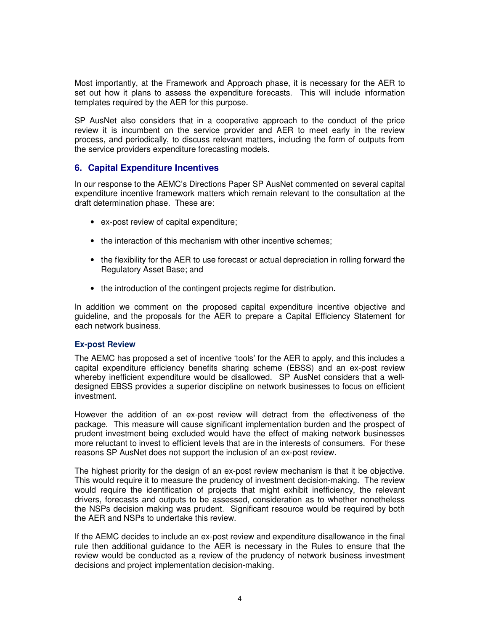Most importantly, at the Framework and Approach phase, it is necessary for the AER to set out how it plans to assess the expenditure forecasts. This will include information templates required by the AER for this purpose.

SP AusNet also considers that in a cooperative approach to the conduct of the price review it is incumbent on the service provider and AER to meet early in the review process, and periodically, to discuss relevant matters, including the form of outputs from the service providers expenditure forecasting models.

# **6. Capital Expenditure Incentives**

In our response to the AEMC's Directions Paper SP AusNet commented on several capital expenditure incentive framework matters which remain relevant to the consultation at the draft determination phase. These are:

- ex-post review of capital expenditure;
- the interaction of this mechanism with other incentive schemes;
- the flexibility for the AER to use forecast or actual depreciation in rolling forward the Regulatory Asset Base; and
- the introduction of the contingent projects regime for distribution.

In addition we comment on the proposed capital expenditure incentive objective and guideline, and the proposals for the AER to prepare a Capital Efficiency Statement for each network business.

## **Ex-post Review**

The AEMC has proposed a set of incentive 'tools' for the AER to apply, and this includes a capital expenditure efficiency benefits sharing scheme (EBSS) and an ex-post review whereby inefficient expenditure would be disallowed. SP AusNet considers that a welldesigned EBSS provides a superior discipline on network businesses to focus on efficient investment.

However the addition of an ex-post review will detract from the effectiveness of the package. This measure will cause significant implementation burden and the prospect of prudent investment being excluded would have the effect of making network businesses more reluctant to invest to efficient levels that are in the interests of consumers. For these reasons SP AusNet does not support the inclusion of an ex-post review.

The highest priority for the design of an ex-post review mechanism is that it be objective. This would require it to measure the prudency of investment decision-making. The review would require the identification of projects that might exhibit inefficiency, the relevant drivers, forecasts and outputs to be assessed, consideration as to whether nonetheless the NSPs decision making was prudent. Significant resource would be required by both the AER and NSPs to undertake this review.

If the AEMC decides to include an ex-post review and expenditure disallowance in the final rule then additional guidance to the AER is necessary in the Rules to ensure that the review would be conducted as a review of the prudency of network business investment decisions and project implementation decision-making.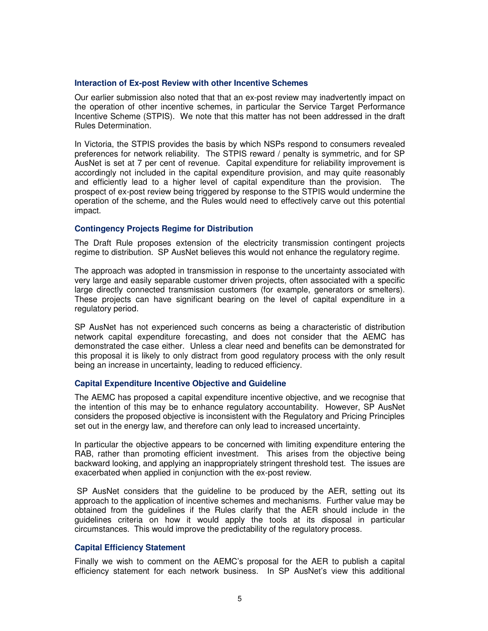#### **Interaction of Ex-post Review with other Incentive Schemes**

Our earlier submission also noted that that an ex-post review may inadvertently impact on the operation of other incentive schemes, in particular the Service Target Performance Incentive Scheme (STPIS). We note that this matter has not been addressed in the draft Rules Determination.

In Victoria, the STPIS provides the basis by which NSPs respond to consumers revealed preferences for network reliability. The STPIS reward / penalty is symmetric, and for SP AusNet is set at 7 per cent of revenue. Capital expenditure for reliability improvement is accordingly not included in the capital expenditure provision, and may quite reasonably and efficiently lead to a higher level of capital expenditure than the provision. The prospect of ex-post review being triggered by response to the STPIS would undermine the operation of the scheme, and the Rules would need to effectively carve out this potential impact.

#### **Contingency Projects Regime for Distribution**

The Draft Rule proposes extension of the electricity transmission contingent projects regime to distribution. SP AusNet believes this would not enhance the regulatory regime.

The approach was adopted in transmission in response to the uncertainty associated with very large and easily separable customer driven projects, often associated with a specific large directly connected transmission customers (for example, generators or smelters). These projects can have significant bearing on the level of capital expenditure in a regulatory period.

SP AusNet has not experienced such concerns as being a characteristic of distribution network capital expenditure forecasting, and does not consider that the AEMC has demonstrated the case either. Unless a clear need and benefits can be demonstrated for this proposal it is likely to only distract from good regulatory process with the only result being an increase in uncertainty, leading to reduced efficiency.

#### **Capital Expenditure Incentive Objective and Guideline**

The AEMC has proposed a capital expenditure incentive objective, and we recognise that the intention of this may be to enhance regulatory accountability. However, SP AusNet considers the proposed objective is inconsistent with the Regulatory and Pricing Principles set out in the energy law, and therefore can only lead to increased uncertainty.

In particular the objective appears to be concerned with limiting expenditure entering the RAB, rather than promoting efficient investment. This arises from the objective being backward looking, and applying an inappropriately stringent threshold test. The issues are exacerbated when applied in conjunction with the ex-post review.

 SP AusNet considers that the guideline to be produced by the AER, setting out its approach to the application of incentive schemes and mechanisms. Further value may be obtained from the guidelines if the Rules clarify that the AER should include in the guidelines criteria on how it would apply the tools at its disposal in particular circumstances. This would improve the predictability of the regulatory process.

### **Capital Efficiency Statement**

Finally we wish to comment on the AEMC's proposal for the AER to publish a capital efficiency statement for each network business. In SP AusNet's view this additional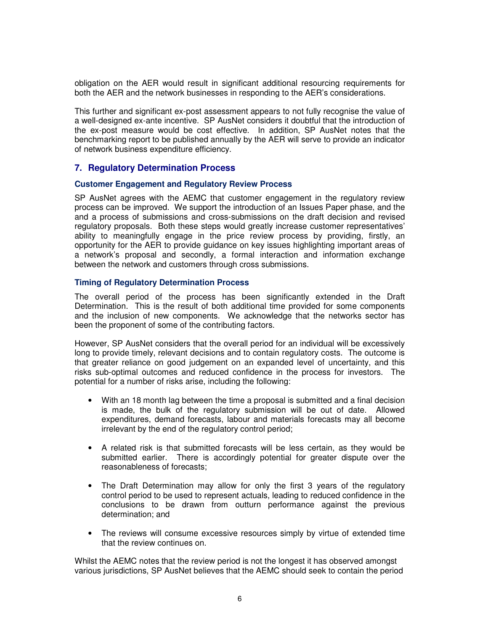obligation on the AER would result in significant additional resourcing requirements for both the AER and the network businesses in responding to the AER's considerations.

This further and significant ex-post assessment appears to not fully recognise the value of a well-designed ex-ante incentive. SP AusNet considers it doubtful that the introduction of the ex-post measure would be cost effective. In addition, SP AusNet notes that the benchmarking report to be published annually by the AER will serve to provide an indicator of network business expenditure efficiency.

## **7. Regulatory Determination Process**

#### **Customer Engagement and Regulatory Review Process**

SP AusNet agrees with the AEMC that customer engagement in the regulatory review process can be improved. We support the introduction of an Issues Paper phase, and the and a process of submissions and cross-submissions on the draft decision and revised regulatory proposals. Both these steps would greatly increase customer representatives' ability to meaningfully engage in the price review process by providing, firstly, an opportunity for the AER to provide guidance on key issues highlighting important areas of a network's proposal and secondly, a formal interaction and information exchange between the network and customers through cross submissions.

#### **Timing of Regulatory Determination Process**

The overall period of the process has been significantly extended in the Draft Determination. This is the result of both additional time provided for some components and the inclusion of new components. We acknowledge that the networks sector has been the proponent of some of the contributing factors.

However, SP AusNet considers that the overall period for an individual will be excessively long to provide timely, relevant decisions and to contain regulatory costs. The outcome is that greater reliance on good judgement on an expanded level of uncertainty, and this risks sub-optimal outcomes and reduced confidence in the process for investors. The potential for a number of risks arise, including the following:

- With an 18 month lag between the time a proposal is submitted and a final decision is made, the bulk of the regulatory submission will be out of date. Allowed expenditures, demand forecasts, labour and materials forecasts may all become irrelevant by the end of the regulatory control period;
- A related risk is that submitted forecasts will be less certain, as they would be submitted earlier. There is accordingly potential for greater dispute over the reasonableness of forecasts;
- The Draft Determination may allow for only the first 3 years of the regulatory control period to be used to represent actuals, leading to reduced confidence in the conclusions to be drawn from outturn performance against the previous determination; and
- The reviews will consume excessive resources simply by virtue of extended time that the review continues on.

Whilst the AEMC notes that the review period is not the longest it has observed amongst various jurisdictions, SP AusNet believes that the AEMC should seek to contain the period